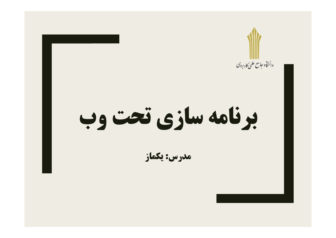دانگاه جامع علمی کاربردی **برنامه سازي تحت وب مدرس: یکماز**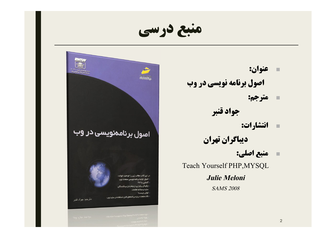**منبع درسی**

- **عنوان: اصول برنامه نویسی در وب** ■ **مترجم:** 
	-

**جواد قنبر**

■ **انتشارات:**

**دیباگران تهران**

■ **منبع اصلی:**

Teach Yourself PHP,MYSQL

*Julie Meloni*

*SAMS 2008*

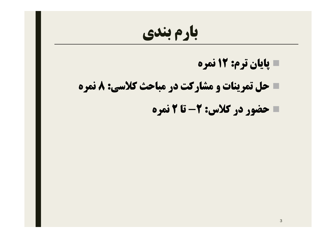**بارم بندي**

- **پایان ترم: 12 نمره**
- **حل تمرینات و مشارکت در مباحث کلاسی: 8 نمره**
	- **حضور در کلاس: -2 تا 2 نمره**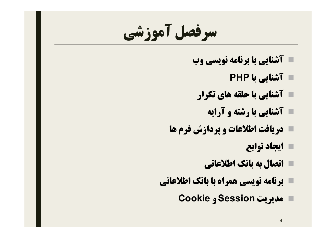# **سرفصل آموزشی**

- **آشنایی با برنامه نویسی وب**
	- **آشنایی با PHP**
	- **آشنایی با حلقه هاي تکرار**
		- **آشنایی با رشته و آرایه**
- **دریافت اطلاعات و پردازش فرم ها**
	- **ایجاد توابع**
	- **اتصال به بانک اطلاعاتی**
- **برنامه نویسی همراه با بانک اطلاعاتی**
	- **Cookie و Session مدیریت**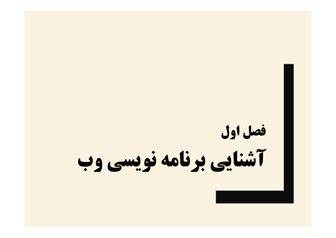# **فصل اول آشنایی برنامه نویسی وب**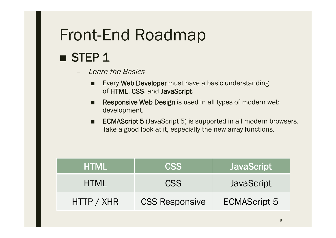### Front-End Roadmap

### ■ **STEP 1**

- *Learn the Basics*
	- Every Web Developer must have a basic understanding of **HTML**, **CSS**, and **JavaScript**.
	- **Responsive Web Design** is used in all types of modern web development.
	- **ECMAScript 5** (JavaScript 5) is supported in all modern browsers. Take a good look at it, especially the new array functions.

| <b>HTML</b> | <b>CSS</b>            | JavaScript          |
|-------------|-----------------------|---------------------|
| <b>HTML</b> | CSS                   | <b>JavaScript</b>   |
| HTTP / XHR  | <b>CSS Responsive</b> | <b>ECMAScript 5</b> |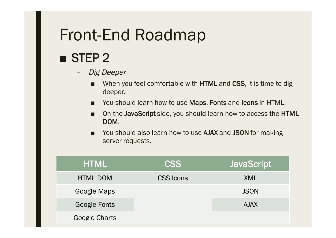### Front-End Roadmap

### ■ **STEP 2**

- *Dig Deeper*
	- When you feel comfortable with HTML and CSS, it is time to dig deeper.
	- You should learn how to use **Maps**, Fonts and Icons in HTML.
	- On the **JavaScript** side, you should learn how to access the HTML **DOM**.
	- You should also learn how to use **AJAX** and JSON for making server requests.

| <b>HTML</b>         | <b>CSS</b>       | <b>JavaScript</b> |
|---------------------|------------------|-------------------|
| <b>HTML DOM</b>     | <b>CSS Icons</b> | XML               |
| Google Maps         |                  | <b>JSON</b>       |
| <b>Google Fonts</b> |                  | <b>AJAX</b>       |
| Google Charts       |                  |                   |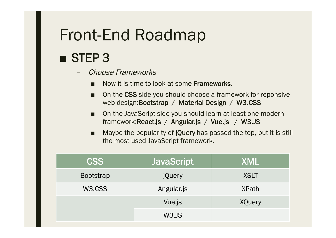### Front-End Roadmap

### ■ **STEP 3**

- *Choose Frameworks*
	- Now it is time to look at some **Frameworks**.
	- On the CSS side you should choose a framework for reponsive web design:**Bootstrap** / **Material Design** / **W3.CSS**
	- On the JavaScript side you should learn at least one modern framework:**React.js** / **Angular.js** / **Vue.js** / **W3.JS**
	- Maybe the popularity of **jQuery** has passed the top, but it is still the most used JavaScript framework.

| <b>CSS</b>       | <b>JavaScript</b>  | <b>XML</b>    |
|------------------|--------------------|---------------|
| <b>Bootstrap</b> | jQuery             | <b>XSLT</b>   |
| W3.CSS           | Angular.js         | <b>XPath</b>  |
|                  | Vue.js             | <b>XQuery</b> |
|                  | W <sub>3</sub> .JS |               |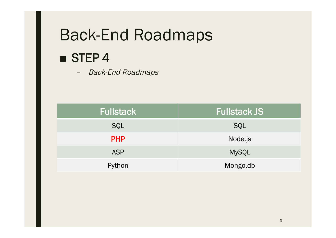# Back-End Roadmaps ■ **STEP 4**

– *Back-End Roadmaps*

| Fullstack  | <b>Fullstack JS</b> |
|------------|---------------------|
| <b>SQL</b> | <b>SQL</b>          |
| <b>PHP</b> | Node.js             |
| <b>ASP</b> | <b>MySQL</b>        |
| Python     | Mongo.db            |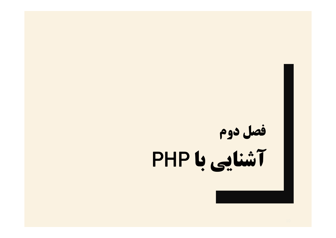# **فصل دوم آشنایی با PHP**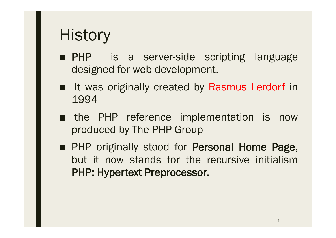### **History**

- **PHP** is a server-side scripting language designed for web development.
- It was originally created by Rasmus Lerdorf in 1994
- the PHP reference implementation is now produced by The PHP Group
- PHP originally stood for **Personal Home Page**, but it now stands for the recursive initialism **PHP: Hypertext Preprocessor**.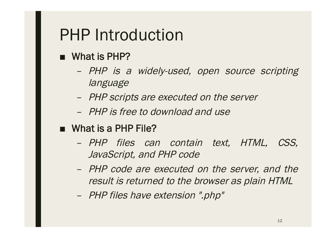### PHP Introduction

- **What is PHP?**
	- *PHP is <sup>a</sup> widely-used, open source scripting language*
	- *PHP scripts are executed on the server*
	- *PHP is free to download and use*
- **What** is a PHP File?
	- *PHP files can contain text, HTML, CSS, JavaScript, and PHP code*
	- *PHP code are executed on the server, and the result is returned to the browser as plain HTML*
	- *PHP files have extension ".php"*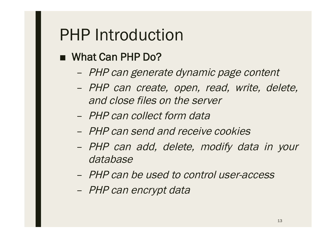### PHP Introduction

- **What Can PHP Do?**
	- *PHP can generate dynamic page content*
	- *PHP can create, open, read, write, delete, and close files on the server*
	- *PHP can collect form data*
	- *PHP can send and receive cookies*
	- *PHP can add, delete, modify data in your database*
	- *PHP can be used to control user-access*
	- *PHP can encrypt data*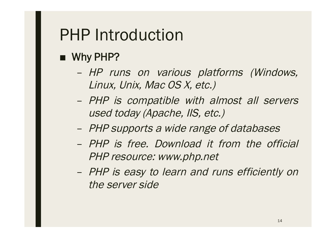### PHP Introduction

### ■ **Why PHP?**

- *HP runs on various platforms (Windows, Linux, Unix, Mac OS X, etc.)*
- *PHP is compatible with almost all servers used today (Apache, IIS, etc.)*
- *PHP supports <sup>a</sup> wide range of databases*
- *PHP is free. Download it from the official PHP resource: www.php.net*
- *PHP is easy to learn and runs efficiently on the server side*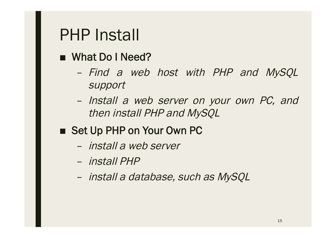### PHP Install

- **What Do I Need?**
	- *Find <sup>a</sup> web host with PHP and MySQL support*
	- *Install <sup>a</sup> web server on your own PC, and then install PHP and MySQL*
- **Set Up PHP** on Your Own PC
	- *install <sup>a</sup> web server*
	- *install PHP*
	- *install <sup>a</sup> database, such as MySQL*